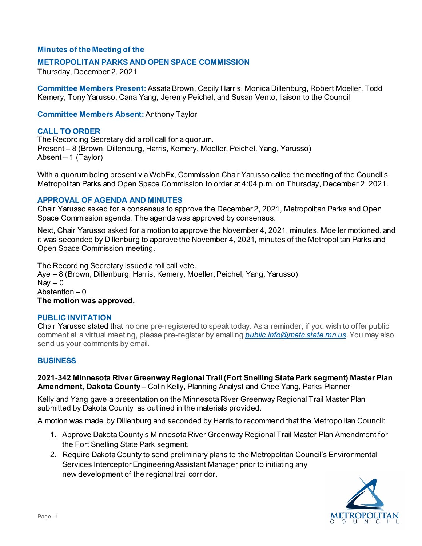# **Minutes of the Meeting of the**

## **METROPOLITAN PARKS AND OPEN SPACE COMMISSION**

Thursday, December 2, 2021

**Committee Members Present:** Assata Brown, Cecily Harris, Monica Dillenburg, Robert Moeller, Todd Kemery, Tony Yarusso, Cana Yang, Jeremy Peichel, and Susan Vento, liaison to the Council

**Committee Members Absent:** Anthony Taylor

## **CALL TO ORDER**

The Recording Secretary did a roll call for a quorum. Present – 8 (Brown, Dillenburg, Harris, Kemery, Moeller, Peichel, Yang, Yarusso) Absent – 1 (Taylor)

With a quorum being present via WebEx, Commission Chair Yarusso called the meeting of the Council's Metropolitan Parks and Open Space Commission to order at 4:04 p.m. on Thursday, December 2, 2021.

### **APPROVAL OF AGENDA AND MINUTES**

Chair Yarusso asked for a consensus to approve the December 2, 2021, Metropolitan Parks and Open Space Commission agenda. The agenda was approved by consensus.

Next, Chair Yarusso asked for a motion to approve the November 4, 2021, minutes. Moeller motioned, and it was seconded by Dillenburg to approve the November 4, 2021, minutes of the Metropolitan Parks and Open Space Commission meeting.

The Recording Secretary issued a roll call vote. Aye – 8 (Brown, Dillenburg, Harris, Kemery, Moeller, Peichel, Yang, Yarusso)  $Nav - 0$ Abstention – 0 **The motion was approved.**

#### **PUBLIC INVITATION**

Chair Yarusso stated that no one pre-registered to speak today. As a reminder, if you wish to offer public comment at a virtual meeting, please pre-register by emailing *[public.info@metc.state.mn.us](mailto:public.info@metc.state.mn.us)*.You may also send us your comments by email.

## **BUSINESS**

**2021-342 Minnesota River Greenway Regional Trail (Fort Snelling State Park segment) Master Plan Amendment, Dakota County** – Colin Kelly, Planning Analyst and Chee Yang, Parks Planner

Kelly and Yang gave a presentation on the Minnesota River Greenway Regional Trail Master Plan submitted by Dakota County as outlined in the materials provided.

A motion was made by Dillenburg and seconded by Harris to recommend that the Metropolitan Council:

- 1. Approve Dakota County's Minnesota River Greenway Regional Trail Master Plan Amendment for the Fort Snelling State Park segment.
- 2. Require Dakota County to send preliminary plans to the Metropolitan Council's Environmental Services Interceptor Engineering Assistant Manager prior to initiating any new development of the regional trail corridor.

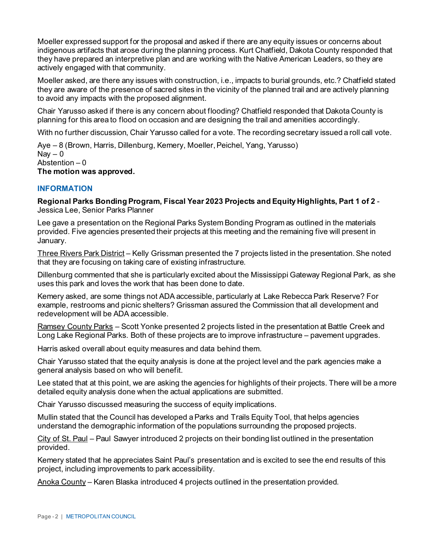Moeller expressed support for the proposal and asked if there are any equity issues or concerns about indigenous artifacts that arose during the planning process. Kurt Chatfield, Dakota County responded that they have prepared an interpretive plan and are working with the Native American Leaders, so they are actively engaged with that community.

Moeller asked, are there any issues with construction, i.e., impacts to burial grounds, etc.? Chatfield stated they are aware of the presence of sacred sites in the vicinity of the planned trail and are actively planning to avoid any impacts with the proposed alignment.

Chair Yarusso asked if there is any concern about flooding? Chatfield responded that Dakota County is planning for this area to flood on occasion and are designing the trail and amenities accordingly.

With no further discussion, Chair Yarusso called for a vote. The recording secretary issued a roll call vote.

Aye – 8 (Brown, Harris, Dillenburg, Kemery, Moeller, Peichel, Yang, Yarusso)  $\text{Nav} - 0$ Abstention – 0 **The motion was approved.**

# **INFORMATION**

**Regional Parks Bonding Program, Fiscal Year 2023 Projects and Equity Highlights, Part 1 of 2** - Jessica Lee, Senior Parks Planner

Lee gave a presentation on the Regional Parks System Bonding Program as outlined in the materials provided. Five agencies presented their projects at this meeting and the remaining five will present in January.

Three Rivers Park District – Kelly Grissman presented the 7 projects listed in the presentation. She noted that they are focusing on taking care of existing infrastructure.

Dillenburg commented that she is particularly excited about the Mississippi Gateway Regional Park, as she uses this park and loves the work that has been done to date.

Kemery asked, are some things not ADA accessible, particularly at Lake Rebecca Park Reserve? For example, restrooms and picnic shelters? Grissman assured the Commission that all development and redevelopment will be ADA accessible.

Ramsey County Parks – Scott Yonke presented 2 projects listed in the presentation at Battle Creek and Long Lake Regional Parks. Both of these projects are to improve infrastructure – pavement upgrades.

Harris asked overall about equity measures and data behind them.

Chair Yarusso stated that the equity analysis is done at the project level and the park agencies make a general analysis based on who will benefit.

Lee stated that at this point, we are asking the agencies for highlights of their projects. There will be a more detailed equity analysis done when the actual applications are submitted.

Chair Yarusso discussed measuring the success of equity implications.

Mullin stated that the Council has developed a Parks and Trails Equity Tool, that helps agencies understand the demographic information of the populations surrounding the proposed projects.

City of St. Paul – Paul Sawyer introduced 2 projects on their bonding list outlined in the presentation provided.

Kemery stated that he appreciates Saint Paul's presentation and is excited to see the end results of this project, including improvements to park accessibility.

Anoka County – Karen Blaska introduced 4 projects outlined in the presentation provided.